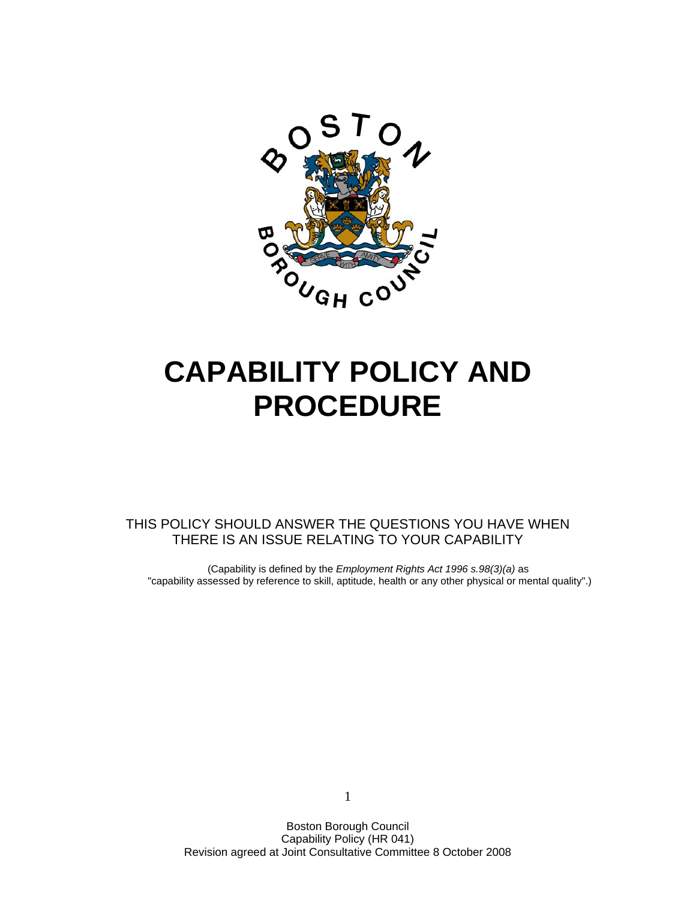

# **CAPABILITY POLICY AND PROCEDURE**

THIS POLICY SHOULD ANSWER THE QUESTIONS YOU HAVE WHEN THERE IS AN ISSUE RELATING TO YOUR CAPABILITY

(Capability is defined by the *Employment Rights Act 1996 s.98(3)(a)* as "capability assessed by reference to skill, aptitude, health or any other physical or mental quality".)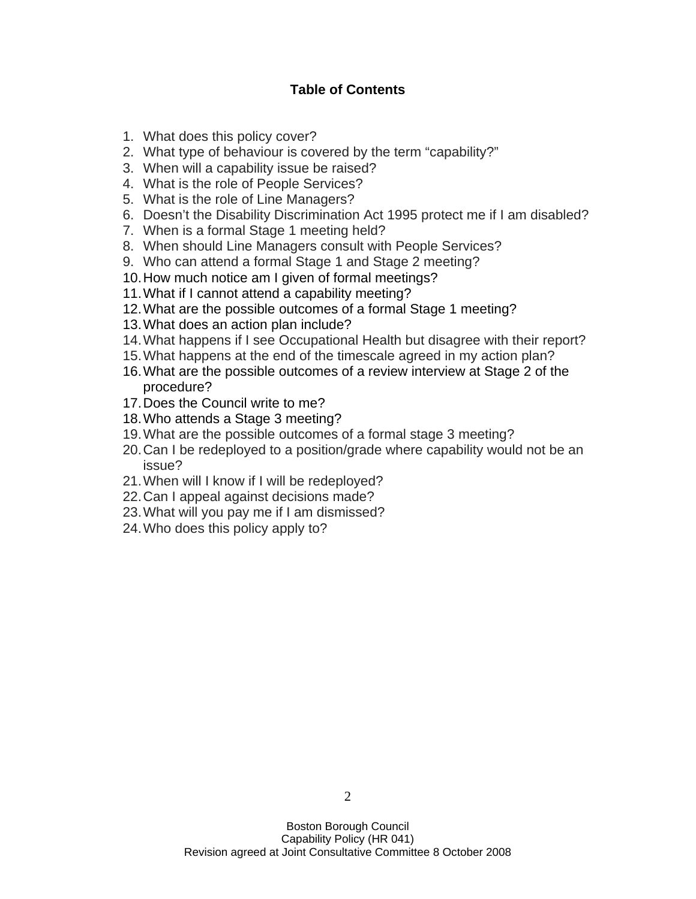## **Table of Contents**

- 1. What does this policy cover?
- 2. What type of behaviour is covered by the term "capability?"
- 3. When will a capability issue be raised?
- 4. What is the role of People Services?
- 5. What is the role of Line Managers?
- 6. Doesn't the Disability Discrimination Act 1995 protect me if I am disabled?
- 7. When is a formal Stage 1 meeting held?
- 8. When should Line Managers consult with People Services?
- 9. Who can attend a formal Stage 1 and Stage 2 meeting?
- 10. How much notice am I given of formal meetings?
- 11. What if I cannot attend a capability meeting?
- 12. What are the possible outcomes of a formal Stage 1 meeting?
- 13. What does an action plan include?
- 14. What happens if I see Occupational Health but disagree with their report?
- 15. What happens at the end of the timescale agreed in my action plan?
- 16. What are the possible outcomes of a review interview at Stage 2 of the procedure?
- 17. Does the Council write to me?
- 18. Who attends a Stage 3 meeting?
- 19. What are the possible outcomes of a formal stage 3 meeting?
- 20. Can I be redeployed to a position/grade where capability would not be an issue?
- 21. When will I know if I will be redeployed?
- 22. Can I appeal against decisions made?
- 23. What will you pay me if I am dismissed?
- 24. Who does this policy apply to?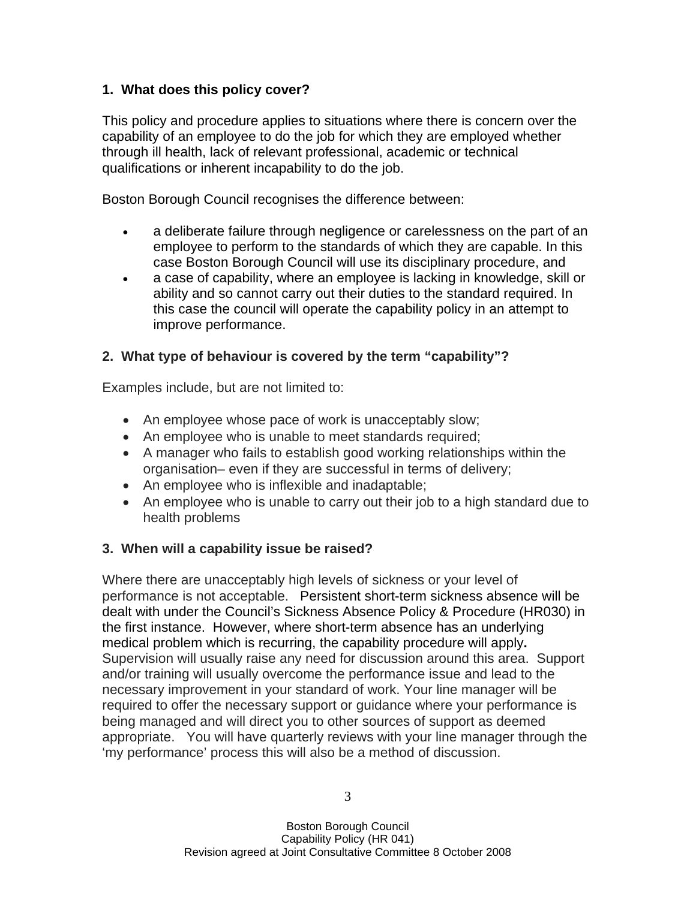## **1. What does this policy cover?**

This policy and procedure applies to situations where there is concern over the capability of an employee to do the job for which they are employed whether through ill health, lack of relevant professional, academic or technical qualifications or inherent incapability to do the job.

Boston Borough Council recognises the difference between:

- a deliberate failure through negligence or carelessness on the part of an employee to perform to the standards of which they are capable. In this case Boston Borough Council will use its disciplinary procedure, and
- a case of capability, where an employee is lacking in knowledge, skill or ability and so cannot carry out their duties to the standard required. In this case the council will operate the capability policy in an attempt to improve performance.

## **2. What type of behaviour is covered by the term "capability"?**

Examples include, but are not limited to:

- An employee whose pace of work is unacceptably slow;
- An employee who is unable to meet standards required;
- A manager who fails to establish good working relationships within the organisation– even if they are successful in terms of delivery;
- An employee who is inflexible and inadaptable;
- An employee who is unable to carry out their job to a high standard due to health problems

# **3. When will a capability issue be raised?**

Where there are unacceptably high levels of sickness or your level of performance is not acceptable. Persistent short-term sickness absence will be dealt with under the Council's Sickness Absence Policy & Procedure (HR030) in the first instance. However, where short-term absence has an underlying medical problem which is recurring, the capability procedure will apply**.**  Supervision will usually raise any need for discussion around this area. Support and/or training will usually overcome the performance issue and lead to the necessary improvement in your standard of work. Your line manager will be required to offer the necessary support or guidance where your performance is being managed and will direct you to other sources of support as deemed appropriate. You will have quarterly reviews with your line manager through the 'my performance' process this will also be a method of discussion.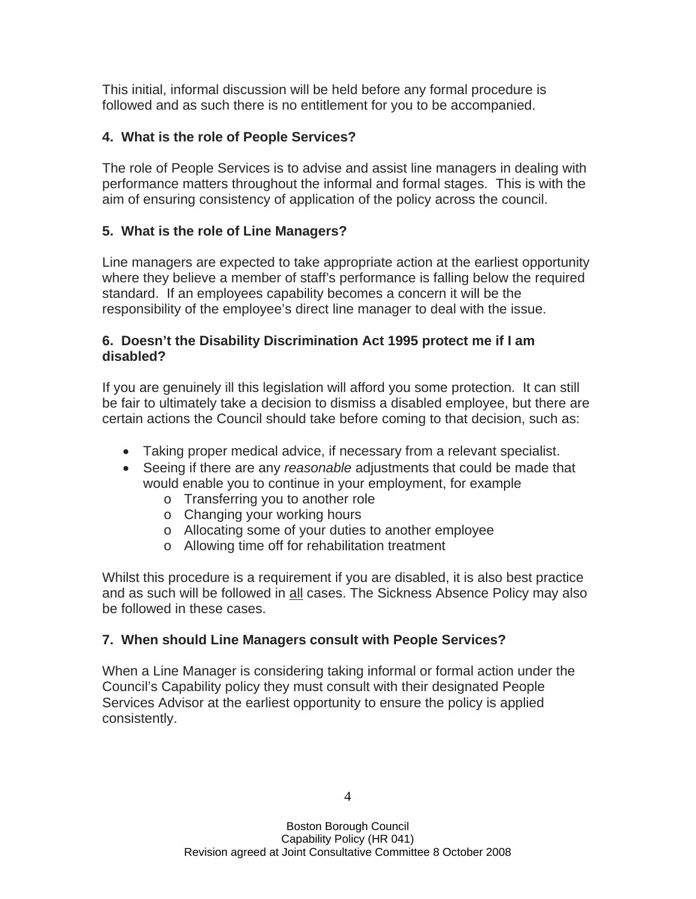This initial, informal discussion will be held before any formal procedure is followed and as such there is no entitlement for you to be accompanied.

# **4. What is the role of People Services?**

The role of People Services is to advise and assist line managers in dealing with performance matters throughout the informal and formal stages. This is with the aim of ensuring consistency of application of the policy across the council.

# **5. What is the role of Line Managers?**

Line managers are expected to take appropriate action at the earliest opportunity where they believe a member of staff's performance is falling below the required standard. If an employees capability becomes a concern it will be the responsibility of the employee's direct line manager to deal with the issue.

## **6. Doesn't the Disability Discrimination Act 1995 protect me if I am disabled?**

If you are genuinely ill this legislation will afford you some protection. It can still be fair to ultimately take a decision to dismiss a disabled employee, but there are certain actions the Council should take before coming to that decision, such as:

- Taking proper medical advice, if necessary from a relevant specialist.
- Seeing if there are any *reasonable* adjustments that could be made that would enable you to continue in your employment, for example
	- o Transferring you to another role
	- o Changing your working hours
	- o Allocating some of your duties to another employee
	- o Allowing time off for rehabilitation treatment

Whilst this procedure is a requirement if you are disabled, it is also best practice and as such will be followed in all cases. The Sickness Absence Policy may also be followed in these cases.

# **7. When should Line Managers consult with People Services?**

When a Line Manager is considering taking informal or formal action under the Council's Capability policy they must consult with their designated People Services Advisor at the earliest opportunity to ensure the policy is applied consistently.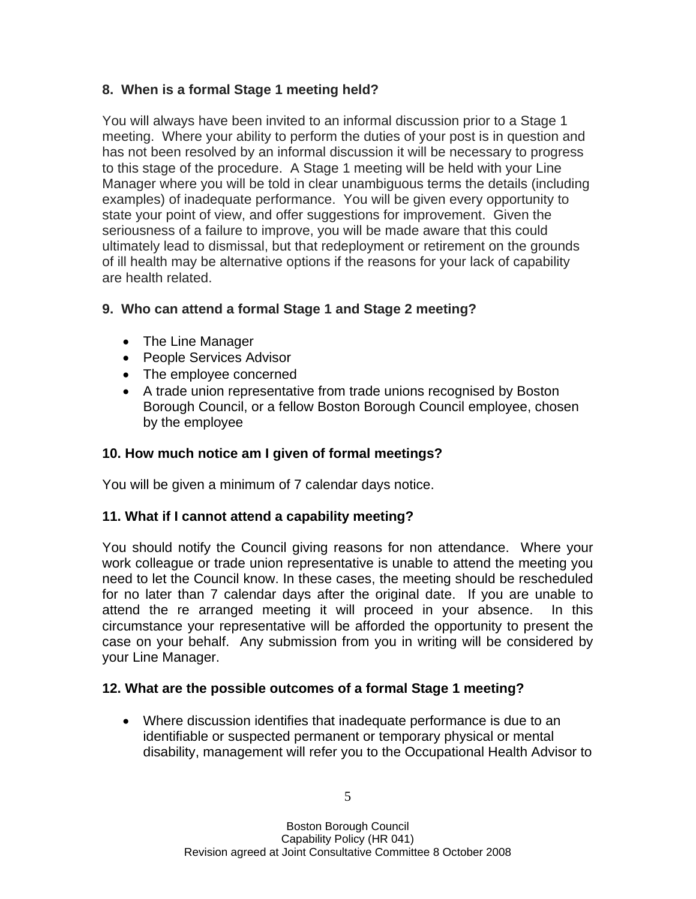## **8. When is a formal Stage 1 meeting held?**

You will always have been invited to an informal discussion prior to a Stage 1 meeting. Where your ability to perform the duties of your post is in question and has not been resolved by an informal discussion it will be necessary to progress to this stage of the procedure. A Stage 1 meeting will be held with your Line Manager where you will be told in clear unambiguous terms the details (including examples) of inadequate performance. You will be given every opportunity to state your point of view, and offer suggestions for improvement. Given the seriousness of a failure to improve, you will be made aware that this could ultimately lead to dismissal, but that redeployment or retirement on the grounds of ill health may be alternative options if the reasons for your lack of capability are health related.

## **9. Who can attend a formal Stage 1 and Stage 2 meeting?**

- The Line Manager
- People Services Advisor
- The employee concerned
- A trade union representative from trade unions recognised by Boston Borough Council, or a fellow Boston Borough Council employee, chosen by the employee

## **10. How much notice am I given of formal meetings?**

You will be given a minimum of 7 calendar days notice.

## **11. What if I cannot attend a capability meeting?**

You should notify the Council giving reasons for non attendance. Where your work colleague or trade union representative is unable to attend the meeting you need to let the Council know. In these cases, the meeting should be rescheduled for no later than 7 calendar days after the original date. If you are unable to attend the re arranged meeting it will proceed in your absence. In this circumstance your representative will be afforded the opportunity to present the case on your behalf. Any submission from you in writing will be considered by your Line Manager.

## **12. What are the possible outcomes of a formal Stage 1 meeting?**

• Where discussion identifies that inadequate performance is due to an identifiable or suspected permanent or temporary physical or mental disability, management will refer you to the Occupational Health Advisor to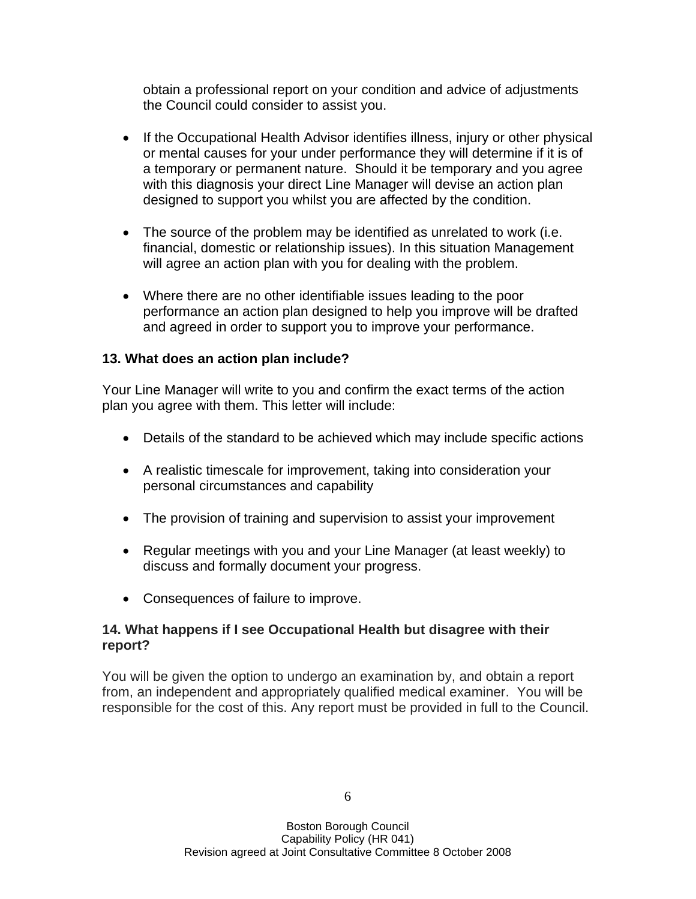obtain a professional report on your condition and advice of adjustments the Council could consider to assist you.

- If the Occupational Health Advisor identifies illness, injury or other physical or mental causes for your under performance they will determine if it is of a temporary or permanent nature. Should it be temporary and you agree with this diagnosis your direct Line Manager will devise an action plan designed to support you whilst you are affected by the condition.
- The source of the problem may be identified as unrelated to work (i.e. financial, domestic or relationship issues). In this situation Management will agree an action plan with you for dealing with the problem.
- Where there are no other identifiable issues leading to the poor performance an action plan designed to help you improve will be drafted and agreed in order to support you to improve your performance.

## **13. What does an action plan include?**

Your Line Manager will write to you and confirm the exact terms of the action plan you agree with them. This letter will include:

- Details of the standard to be achieved which may include specific actions
- A realistic timescale for improvement, taking into consideration your personal circumstances and capability
- The provision of training and supervision to assist your improvement
- Regular meetings with you and your Line Manager (at least weekly) to discuss and formally document your progress.
- Consequences of failure to improve.

#### **14. What happens if I see Occupational Health but disagree with their report?**

You will be given the option to undergo an examination by, and obtain a report from, an independent and appropriately qualified medical examiner. You will be responsible for the cost of this. Any report must be provided in full to the Council.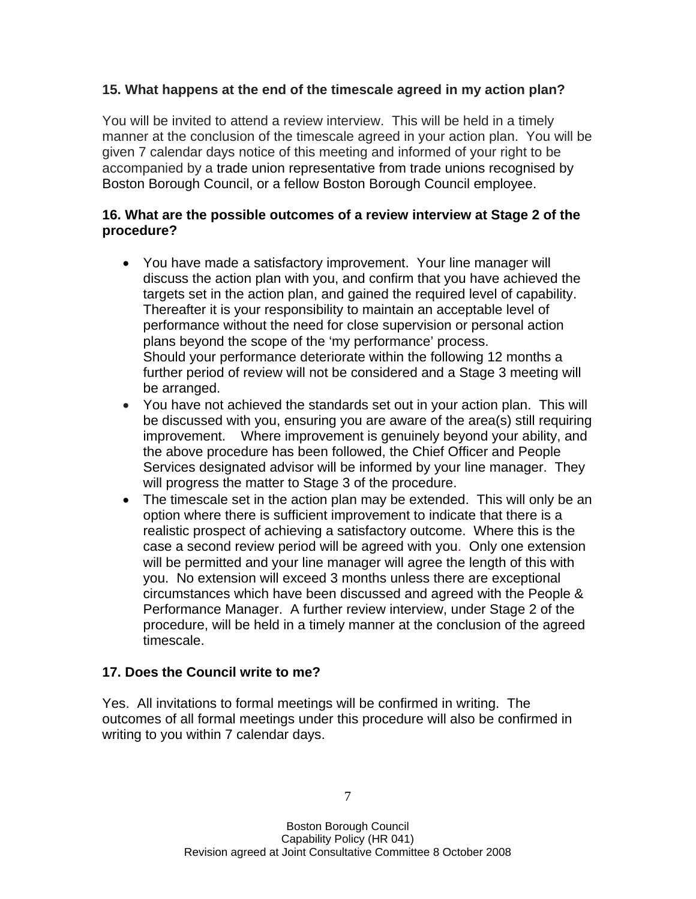#### **15. What happens at the end of the timescale agreed in my action plan?**

You will be invited to attend a review interview. This will be held in a timely manner at the conclusion of the timescale agreed in your action plan. You will be given 7 calendar days notice of this meeting and informed of your right to be accompanied by a trade union representative from trade unions recognised by Boston Borough Council, or a fellow Boston Borough Council employee.

#### **16. What are the possible outcomes of a review interview at Stage 2 of the procedure?**

- You have made a satisfactory improvement. Your line manager will discuss the action plan with you, and confirm that you have achieved the targets set in the action plan, and gained the required level of capability. Thereafter it is your responsibility to maintain an acceptable level of performance without the need for close supervision or personal action plans beyond the scope of the 'my performance' process. Should your performance deteriorate within the following 12 months a further period of review will not be considered and a Stage 3 meeting will be arranged.
- You have not achieved the standards set out in your action plan. This will be discussed with you, ensuring you are aware of the area(s) still requiring improvement.Where improvement is genuinely beyond your ability, and the above procedure has been followed, the Chief Officer and People Services designated advisor will be informed by your line manager. They will progress the matter to Stage 3 of the procedure.
- The timescale set in the action plan may be extended. This will only be an option where there is sufficient improvement to indicate that there is a realistic prospect of achieving a satisfactory outcome. Where this is the case a second review period will be agreed with you. Only one extension will be permitted and your line manager will agree the length of this with you. No extension will exceed 3 months unless there are exceptional circumstances which have been discussed and agreed with the People & Performance Manager. A further review interview, under Stage 2 of the procedure, will be held in a timely manner at the conclusion of the agreed timescale.

#### **17. Does the Council write to me?**

Yes. All invitations to formal meetings will be confirmed in writing. The outcomes of all formal meetings under this procedure will also be confirmed in writing to you within 7 calendar days.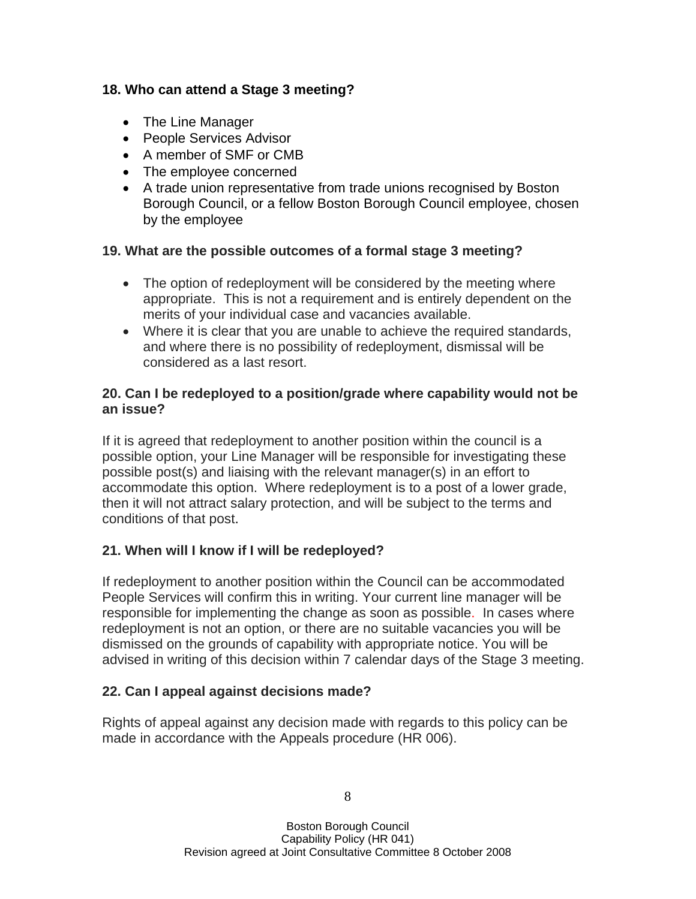#### **18. Who can attend a Stage 3 meeting?**

- The Line Manager
- People Services Advisor
- A member of SMF or CMB
- The employee concerned
- A trade union representative from trade unions recognised by Boston Borough Council, or a fellow Boston Borough Council employee, chosen by the employee

## **19. What are the possible outcomes of a formal stage 3 meeting?**

- The option of redeployment will be considered by the meeting where appropriate. This is not a requirement and is entirely dependent on the merits of your individual case and vacancies available.
- Where it is clear that you are unable to achieve the required standards, and where there is no possibility of redeployment, dismissal will be considered as a last resort.

#### **20. Can I be redeployed to a position/grade where capability would not be an issue?**

If it is agreed that redeployment to another position within the council is a possible option, your Line Manager will be responsible for investigating these possible post(s) and liaising with the relevant manager(s) in an effort to accommodate this option. Where redeployment is to a post of a lower grade, then it will not attract salary protection, and will be subject to the terms and conditions of that post.

## **21. When will I know if I will be redeployed?**

If redeployment to another position within the Council can be accommodated People Services will confirm this in writing. Your current line manager will be responsible for implementing the change as soon as possible. In cases where redeployment is not an option, or there are no suitable vacancies you will be dismissed on the grounds of capability with appropriate notice. You will be advised in writing of this decision within 7 calendar days of the Stage 3 meeting.

## **22. Can I appeal against decisions made?**

Rights of appeal against any decision made with regards to this policy can be made in accordance with the Appeals procedure (HR 006).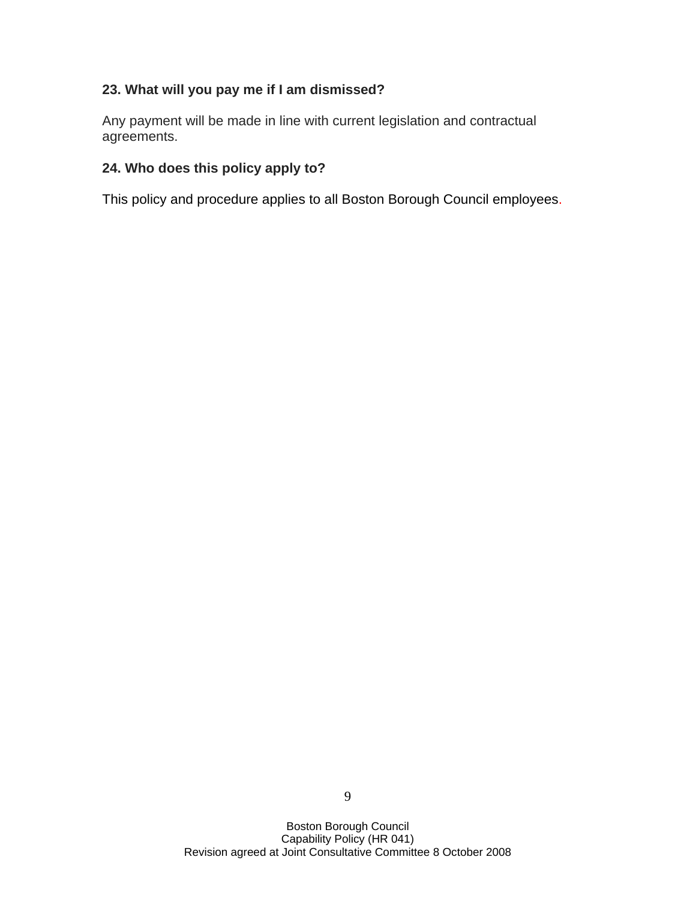## **23. What will you pay me if I am dismissed?**

Any payment will be made in line with current legislation and contractual agreements.

#### **24. Who does this policy apply to?**

This policy and procedure applies to all Boston Borough Council employees.